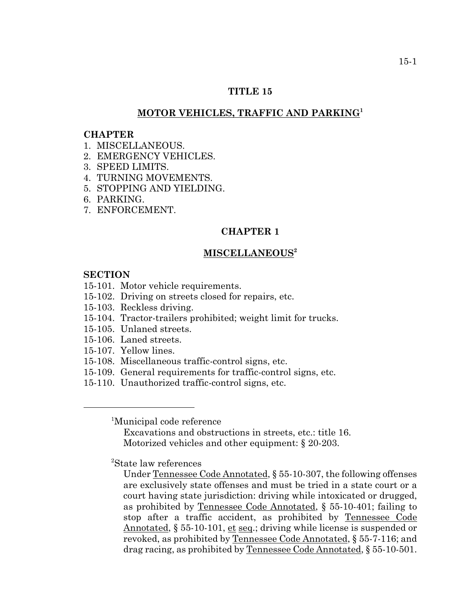### **TITLE 15**

# **MOTOR VEHICLES, TRAFFIC AND PARKING<sup>1</sup>**

#### **CHAPTER**

- 1. MISCELLANEOUS.
- 2. EMERGENCY VEHICLES.
- 3. SPEED LIMITS.
- 4. TURNING MOVEMENTS.
- 5. STOPPING AND YIELDING.
- 6. PARKING.
- 7. ENFORCEMENT.

# **CHAPTER 1**

#### **MISCELLANEOUS2**

#### **SECTION**

- 15-101. Motor vehicle requirements.
- 15-102. Driving on streets closed for repairs, etc.
- 15-103. Reckless driving.
- 15-104. Tractor-trailers prohibited; weight limit for trucks.
- 15-105. Unlaned streets.
- 15-106. Laned streets.
- 15-107. Yellow lines.
- 15-108. Miscellaneous traffic-control signs, etc.
- 15-109. General requirements for traffic-control signs, etc.
- 15-110. Unauthorized traffic-control signs, etc.

1 Municipal code reference

Excavations and obstructions in streets, etc.: title 16. Motorized vehicles and other equipment: § 20-203.

2 State law references

Under Tennessee Code Annotated, § 55-10-307, the following offenses are exclusively state offenses and must be tried in a state court or a court having state jurisdiction: driving while intoxicated or drugged, as prohibited by Tennessee Code Annotated, § 55-10-401; failing to stop after a traffic accident, as prohibited by Tennessee Code Annotated,  $\S 55{\text -}10{\text -}101$ , et seq.; driving while license is suspended or revoked, as prohibited by Tennessee Code Annotated, § 55-7-116; and drag racing, as prohibited by Tennessee Code Annotated, § 55-10-501.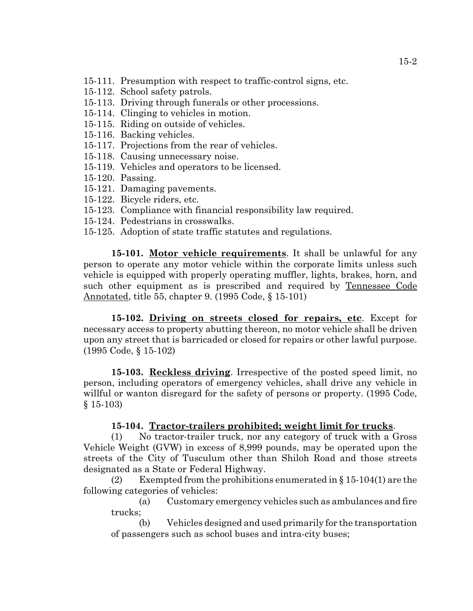- 15-111. Presumption with respect to traffic-control signs, etc.
- 15-112. School safety patrols.
- 15-113. Driving through funerals or other processions.
- 15-114. Clinging to vehicles in motion.
- 15-115. Riding on outside of vehicles.
- 15-116. Backing vehicles.
- 15-117. Projections from the rear of vehicles.
- 15-118. Causing unnecessary noise.
- 15-119. Vehicles and operators to be licensed.
- 15-120. Passing.
- 15-121. Damaging pavements.
- 15-122. Bicycle riders, etc.
- 15-123. Compliance with financial responsibility law required.
- 15-124. Pedestrians in crosswalks.
- 15-125. Adoption of state traffic statutes and regulations.

**15-101. Motor vehicle requirements**. It shall be unlawful for any person to operate any motor vehicle within the corporate limits unless such vehicle is equipped with properly operating muffler, lights, brakes, horn, and such other equipment as is prescribed and required by Tennessee Code Annotated, title 55, chapter 9. (1995 Code, § 15-101)

**15-102. Driving on streets closed for repairs, etc**. Except for necessary access to property abutting thereon, no motor vehicle shall be driven upon any street that is barricaded or closed for repairs or other lawful purpose. (1995 Code, § 15-102)

**15-103. Reckless driving**. Irrespective of the posted speed limit, no person, including operators of emergency vehicles, shall drive any vehicle in willful or wanton disregard for the safety of persons or property. (1995 Code, § 15-103)

## **15-104. Tractor-trailers prohibited; weight limit for trucks**.

(1) No tractor-trailer truck, nor any category of truck with a Gross Vehicle Weight (GVW) in excess of 8,999 pounds, may be operated upon the streets of the City of Tusculum other than Shiloh Road and those streets designated as a State or Federal Highway.

(2) Exempted from the prohibitions enumerated in  $\S 15-104(1)$  are the following categories of vehicles:

(a) Customary emergency vehicles such as ambulances and fire trucks;

(b) Vehicles designed and used primarily for the transportation of passengers such as school buses and intra-city buses;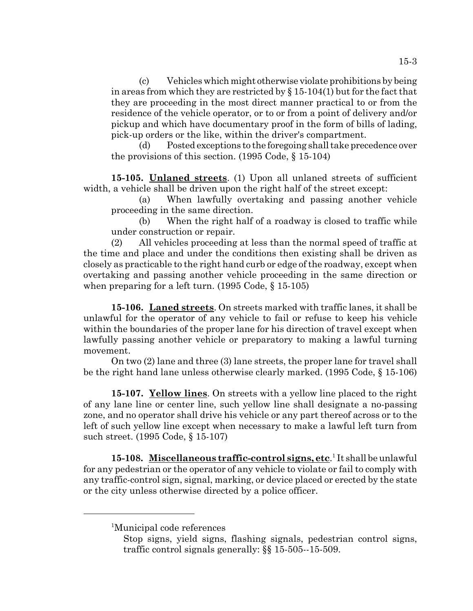(c) Vehicles which might otherwise violate prohibitions by being in areas from which they are restricted by  $\S 15-104(1)$  but for the fact that they are proceeding in the most direct manner practical to or from the residence of the vehicle operator, or to or from a point of delivery and/or pickup and which have documentary proof in the form of bills of lading, pick-up orders or the like, within the driver's compartment.

(d) Posted exceptions to the foregoing shall take precedence over the provisions of this section. (1995 Code, § 15-104)

**15-105. Unlaned streets**. (1) Upon all unlaned streets of sufficient width, a vehicle shall be driven upon the right half of the street except:

(a) When lawfully overtaking and passing another vehicle proceeding in the same direction.

(b) When the right half of a roadway is closed to traffic while under construction or repair.

(2) All vehicles proceeding at less than the normal speed of traffic at the time and place and under the conditions then existing shall be driven as closely as practicable to the right hand curb or edge of the roadway, except when overtaking and passing another vehicle proceeding in the same direction or when preparing for a left turn. (1995 Code, § 15-105)

**15-106. Laned streets**. On streets marked with traffic lanes, it shall be unlawful for the operator of any vehicle to fail or refuse to keep his vehicle within the boundaries of the proper lane for his direction of travel except when lawfully passing another vehicle or preparatory to making a lawful turning movement.

On two (2) lane and three (3) lane streets, the proper lane for travel shall be the right hand lane unless otherwise clearly marked. (1995 Code, § 15-106)

**15-107. Yellow lines**. On streets with a yellow line placed to the right of any lane line or center line, such yellow line shall designate a no-passing zone, and no operator shall drive his vehicle or any part thereof across or to the left of such yellow line except when necessary to make a lawful left turn from such street. (1995 Code, § 15-107)

15-108. Miscellaneous traffic-control signs, etc.<sup>1</sup> It shall be unlawful for any pedestrian or the operator of any vehicle to violate or fail to comply with any traffic-control sign, signal, marking, or device placed or erected by the state or the city unless otherwise directed by a police officer.

<sup>&</sup>lt;sup>1</sup>Municipal code references

Stop signs, yield signs, flashing signals, pedestrian control signs, traffic control signals generally: §§ 15-505--15-509.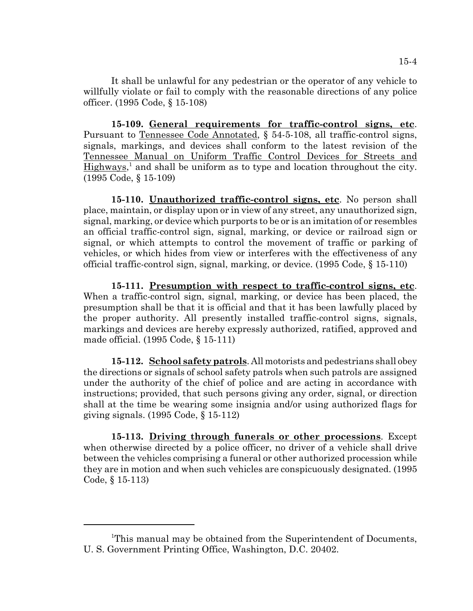It shall be unlawful for any pedestrian or the operator of any vehicle to willfully violate or fail to comply with the reasonable directions of any police officer. (1995 Code, § 15-108)

**15-109. General requirements for traffic-control signs, etc**. Pursuant to Tennessee Code Annotated, § 54-5-108, all traffic-control signs, signals, markings, and devices shall conform to the latest revision of the Tennessee Manual on Uniform Traffic Control Devices for Streets and Highways,<sup>1</sup> and shall be uniform as to type and location throughout the city. (1995 Code, § 15-109)

**15-110. Unauthorized traffic-control signs, etc**. No person shall place, maintain, or display upon or in view of any street, any unauthorized sign, signal, marking, or device which purports to be or is an imitation of or resembles an official traffic-control sign, signal, marking, or device or railroad sign or signal, or which attempts to control the movement of traffic or parking of vehicles, or which hides from view or interferes with the effectiveness of any official traffic-control sign, signal, marking, or device. (1995 Code, § 15-110)

**15-111. Presumption with respect to traffic-control signs, etc**. When a traffic-control sign, signal, marking, or device has been placed, the presumption shall be that it is official and that it has been lawfully placed by the proper authority. All presently installed traffic-control signs, signals, markings and devices are hereby expressly authorized, ratified, approved and made official. (1995 Code, § 15-111)

**15-112. School safety patrols**. All motorists and pedestrians shall obey the directions or signals of school safety patrols when such patrols are assigned under the authority of the chief of police and are acting in accordance with instructions; provided, that such persons giving any order, signal, or direction shall at the time be wearing some insignia and/or using authorized flags for giving signals. (1995 Code, § 15-112)

**15-113. Driving through funerals or other processions**. Except when otherwise directed by a police officer, no driver of a vehicle shall drive between the vehicles comprising a funeral or other authorized procession while they are in motion and when such vehicles are conspicuously designated. (1995 Code, § 15-113)

<sup>&</sup>lt;sup>1</sup>This manual may be obtained from the Superintendent of Documents, U. S. Government Printing Office, Washington, D.C. 20402.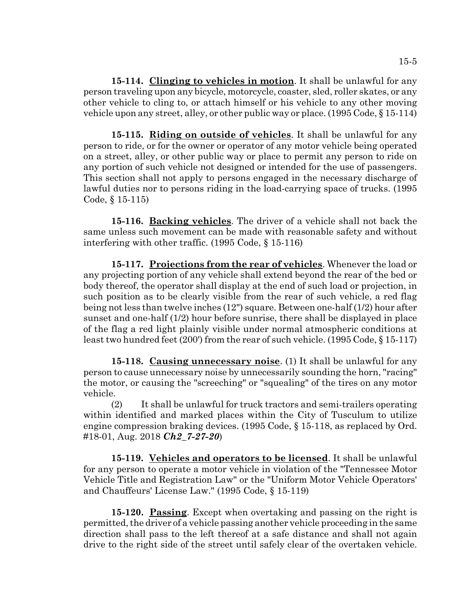**15-114. Clinging to vehicles in motion**. It shall be unlawful for any person traveling upon any bicycle, motorcycle, coaster, sled, roller skates, or any other vehicle to cling to, or attach himself or his vehicle to any other moving vehicle upon any street, alley, or other public way or place. (1995 Code, § 15-114)

**15-115. Riding on outside of vehicles**. It shall be unlawful for any person to ride, or for the owner or operator of any motor vehicle being operated on a street, alley, or other public way or place to permit any person to ride on any portion of such vehicle not designed or intended for the use of passengers. This section shall not apply to persons engaged in the necessary discharge of lawful duties nor to persons riding in the load-carrying space of trucks. (1995 Code, § 15-115)

**15-116. Backing vehicles**. The driver of a vehicle shall not back the same unless such movement can be made with reasonable safety and without interfering with other traffic. (1995 Code, § 15-116)

**15-117. Projections from the rear of vehicles**. Whenever the load or any projecting portion of any vehicle shall extend beyond the rear of the bed or body thereof, the operator shall display at the end of such load or projection, in such position as to be clearly visible from the rear of such vehicle, a red flag being not less than twelve inches (12") square. Between one-half (1/2) hour after sunset and one-half (1/2) hour before sunrise, there shall be displayed in place of the flag a red light plainly visible under normal atmospheric conditions at least two hundred feet (200') from the rear of such vehicle. (1995 Code, § 15-117)

**15-118. Causing unnecessary noise**. (1) It shall be unlawful for any person to cause unnecessary noise by unnecessarily sounding the horn, "racing" the motor, or causing the "screeching" or "squealing" of the tires on any motor vehicle.

(2) It shall be unlawful for truck tractors and semi-trailers operating within identified and marked places within the City of Tusculum to utilize engine compression braking devices. (1995 Code, § 15-118, as replaced by Ord. #18-01, Aug. 2018 *Ch2\_7-27-20*)

**15-119. Vehicles and operators to be licensed**. It shall be unlawful for any person to operate a motor vehicle in violation of the "Tennessee Motor Vehicle Title and Registration Law" or the "Uniform Motor Vehicle Operators' and Chauffeurs' License Law." (1995 Code, § 15-119)

**15-120. Passing**. Except when overtaking and passing on the right is permitted, the driver of a vehicle passing another vehicle proceeding in the same direction shall pass to the left thereof at a safe distance and shall not again drive to the right side of the street until safely clear of the overtaken vehicle.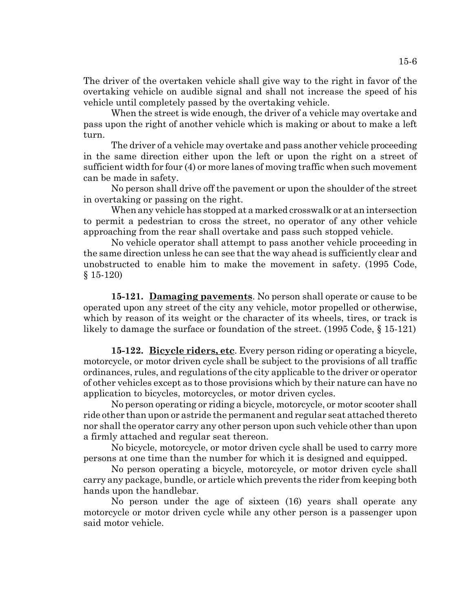The driver of the overtaken vehicle shall give way to the right in favor of the overtaking vehicle on audible signal and shall not increase the speed of his vehicle until completely passed by the overtaking vehicle.

When the street is wide enough, the driver of a vehicle may overtake and pass upon the right of another vehicle which is making or about to make a left turn.

The driver of a vehicle may overtake and pass another vehicle proceeding in the same direction either upon the left or upon the right on a street of sufficient width for four (4) or more lanes of moving traffic when such movement can be made in safety.

No person shall drive off the pavement or upon the shoulder of the street in overtaking or passing on the right.

When any vehicle has stopped at a marked crosswalk or at an intersection to permit a pedestrian to cross the street, no operator of any other vehicle approaching from the rear shall overtake and pass such stopped vehicle.

No vehicle operator shall attempt to pass another vehicle proceeding in the same direction unless he can see that the way ahead is sufficiently clear and unobstructed to enable him to make the movement in safety. (1995 Code, § 15-120)

**15-121. Damaging pavements**. No person shall operate or cause to be operated upon any street of the city any vehicle, motor propelled or otherwise, which by reason of its weight or the character of its wheels, tires, or track is likely to damage the surface or foundation of the street. (1995 Code, § 15-121)

**15-122. Bicycle riders, etc**. Every person riding or operating a bicycle, motorcycle, or motor driven cycle shall be subject to the provisions of all traffic ordinances, rules, and regulations of the city applicable to the driver or operator of other vehicles except as to those provisions which by their nature can have no application to bicycles, motorcycles, or motor driven cycles.

No person operating or riding a bicycle, motorcycle, or motor scooter shall ride other than upon or astride the permanent and regular seat attached thereto nor shall the operator carry any other person upon such vehicle other than upon a firmly attached and regular seat thereon.

No bicycle, motorcycle, or motor driven cycle shall be used to carry more persons at one time than the number for which it is designed and equipped.

No person operating a bicycle, motorcycle, or motor driven cycle shall carry any package, bundle, or article which prevents the rider from keeping both hands upon the handlebar.

No person under the age of sixteen (16) years shall operate any motorcycle or motor driven cycle while any other person is a passenger upon said motor vehicle.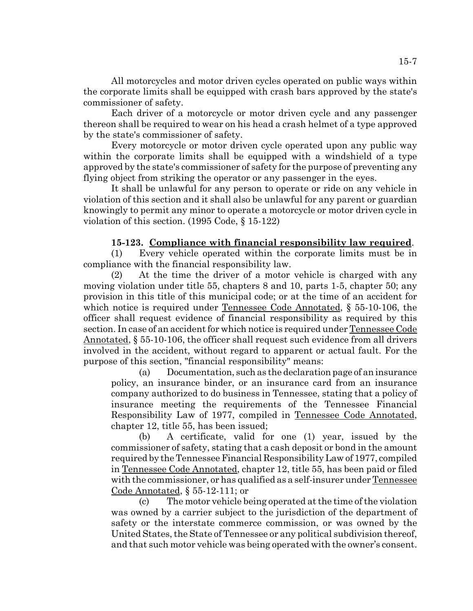All motorcycles and motor driven cycles operated on public ways within the corporate limits shall be equipped with crash bars approved by the state's commissioner of safety.

Each driver of a motorcycle or motor driven cycle and any passenger thereon shall be required to wear on his head a crash helmet of a type approved by the state's commissioner of safety.

Every motorcycle or motor driven cycle operated upon any public way within the corporate limits shall be equipped with a windshield of a type approved by the state's commissioner of safety for the purpose of preventing any flying object from striking the operator or any passenger in the eyes.

It shall be unlawful for any person to operate or ride on any vehicle in violation of this section and it shall also be unlawful for any parent or guardian knowingly to permit any minor to operate a motorcycle or motor driven cycle in violation of this section. (1995 Code, § 15-122)

### **15-123. Compliance with financial responsibility law required**.

(1) Every vehicle operated within the corporate limits must be in compliance with the financial responsibility law.

(2) At the time the driver of a motor vehicle is charged with any moving violation under title 55, chapters 8 and 10, parts 1-5, chapter 50; any provision in this title of this municipal code; or at the time of an accident for which notice is required under Tennessee Code Annotated, § 55-10-106, the officer shall request evidence of financial responsibility as required by this section. In case of an accident for which notice is required under Tennessee Code Annotated, § 55-10-106, the officer shall request such evidence from all drivers involved in the accident, without regard to apparent or actual fault. For the purpose of this section, "financial responsibility" means:

(a) Documentation, such as the declaration page of an insurance policy, an insurance binder, or an insurance card from an insurance company authorized to do business in Tennessee, stating that a policy of insurance meeting the requirements of the Tennessee Financial Responsibility Law of 1977, compiled in Tennessee Code Annotated, chapter 12, title 55, has been issued;

(b) A certificate, valid for one (1) year, issued by the commissioner of safety, stating that a cash deposit or bond in the amount required by the Tennessee Financial Responsibility Law of 1977, compiled in Tennessee Code Annotated, chapter 12, title 55, has been paid or filed with the commissioner, or has qualified as a self-insurer under Tennessee Code Annotated, § 55-12-111; or

(c) The motor vehicle being operated at the time of the violation was owned by a carrier subject to the jurisdiction of the department of safety or the interstate commerce commission, or was owned by the United States, the State of Tennessee or any political subdivision thereof, and that such motor vehicle was being operated with the owner's consent.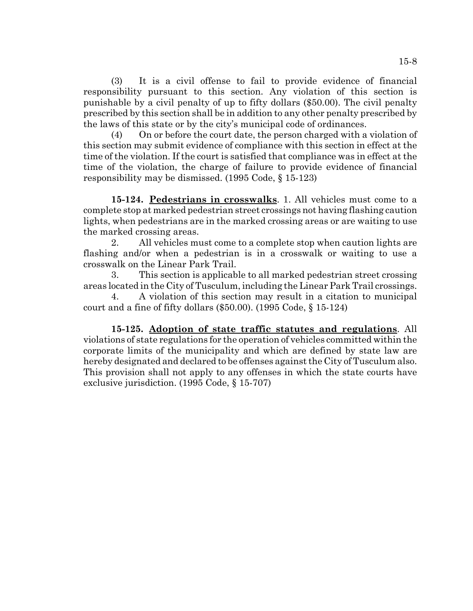(3) It is a civil offense to fail to provide evidence of financial responsibility pursuant to this section. Any violation of this section is punishable by a civil penalty of up to fifty dollars (\$50.00). The civil penalty prescribed by this section shall be in addition to any other penalty prescribed by the laws of this state or by the city's municipal code of ordinances.

(4) On or before the court date, the person charged with a violation of this section may submit evidence of compliance with this section in effect at the time of the violation. If the court is satisfied that compliance was in effect at the time of the violation, the charge of failure to provide evidence of financial responsibility may be dismissed. (1995 Code, § 15-123)

**15-124. Pedestrians in crosswalks**. 1. All vehicles must come to a complete stop at marked pedestrian street crossings not having flashing caution lights, when pedestrians are in the marked crossing areas or are waiting to use the marked crossing areas.

2. All vehicles must come to a complete stop when caution lights are flashing and/or when a pedestrian is in a crosswalk or waiting to use a crosswalk on the Linear Park Trail.

3. This section is applicable to all marked pedestrian street crossing areas located in the City of Tusculum, including the Linear Park Trail crossings.

4. A violation of this section may result in a citation to municipal court and a fine of fifty dollars (\$50.00). (1995 Code, § 15-124)

**15-125. Adoption of state traffic statutes and regulations**. All violations of state regulations for the operation of vehicles committed within the corporate limits of the municipality and which are defined by state law are hereby designated and declared to be offenses against the City of Tusculum also. This provision shall not apply to any offenses in which the state courts have exclusive jurisdiction. (1995 Code, § 15-707)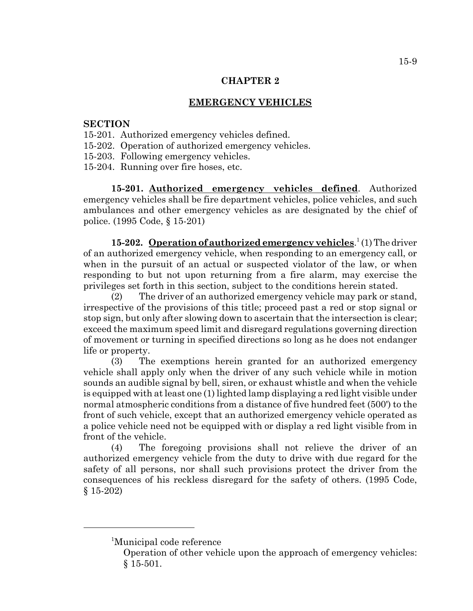### **EMERGENCY VEHICLES**

# **SECTION**

- 15-201. Authorized emergency vehicles defined.
- 15-202. Operation of authorized emergency vehicles.
- 15-203. Following emergency vehicles.
- 15-204. Running over fire hoses, etc.

**15-201. Authorized emergency vehicles defined**. Authorized emergency vehicles shall be fire department vehicles, police vehicles, and such ambulances and other emergency vehicles as are designated by the chief of police. (1995 Code, § 15-201)

15-202. **Operation of authorized emergency vehicles**.<sup>1</sup>(1) The driver of an authorized emergency vehicle, when responding to an emergency call, or when in the pursuit of an actual or suspected violator of the law, or when responding to but not upon returning from a fire alarm, may exercise the privileges set forth in this section, subject to the conditions herein stated.

(2) The driver of an authorized emergency vehicle may park or stand, irrespective of the provisions of this title; proceed past a red or stop signal or stop sign, but only after slowing down to ascertain that the intersection is clear; exceed the maximum speed limit and disregard regulations governing direction of movement or turning in specified directions so long as he does not endanger life or property.

(3) The exemptions herein granted for an authorized emergency vehicle shall apply only when the driver of any such vehicle while in motion sounds an audible signal by bell, siren, or exhaust whistle and when the vehicle is equipped with at least one (1) lighted lamp displaying a red light visible under normal atmospheric conditions from a distance of five hundred feet (500') to the front of such vehicle, except that an authorized emergency vehicle operated as a police vehicle need not be equipped with or display a red light visible from in front of the vehicle.

(4) The foregoing provisions shall not relieve the driver of an authorized emergency vehicle from the duty to drive with due regard for the safety of all persons, nor shall such provisions protect the driver from the consequences of his reckless disregard for the safety of others. (1995 Code, § 15-202)

<sup>&</sup>lt;sup>1</sup>Municipal code reference

Operation of other vehicle upon the approach of emergency vehicles: § 15-501.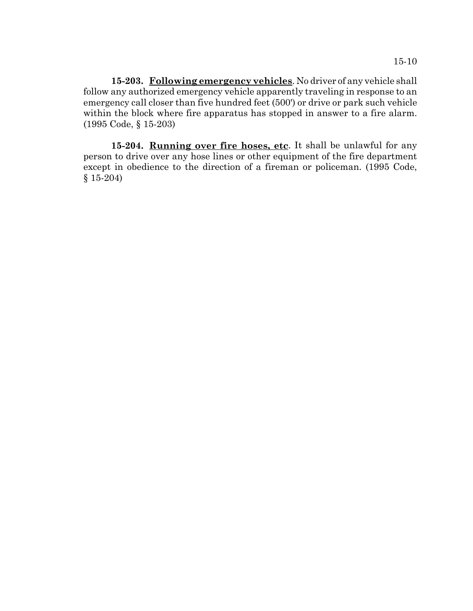**15-203. Following emergency vehicles**. No driver of any vehicle shall follow any authorized emergency vehicle apparently traveling in response to an emergency call closer than five hundred feet (500') or drive or park such vehicle within the block where fire apparatus has stopped in answer to a fire alarm. (1995 Code, § 15-203)

**15-204. Running over fire hoses, etc**. It shall be unlawful for any person to drive over any hose lines or other equipment of the fire department except in obedience to the direction of a fireman or policeman. (1995 Code, § 15-204)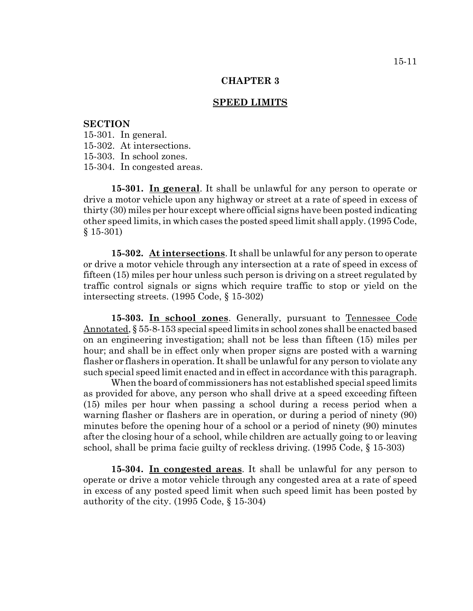#### **SPEED LIMITS**

### **SECTION**

15-301. In general.

15-302. At intersections.

15-303. In school zones.

15-304. In congested areas.

**15-301. In general**. It shall be unlawful for any person to operate or drive a motor vehicle upon any highway or street at a rate of speed in excess of thirty (30) miles per hour except where official signs have been posted indicating other speed limits, in which cases the posted speed limit shall apply. (1995 Code, § 15-301)

**15-302. At intersections**. It shall be unlawful for any person to operate or drive a motor vehicle through any intersection at a rate of speed in excess of fifteen (15) miles per hour unless such person is driving on a street regulated by traffic control signals or signs which require traffic to stop or yield on the intersecting streets. (1995 Code, § 15-302)

**15-303. In school zones**. Generally, pursuant to Tennessee Code Annotated, § 55-8-153 special speed limits in school zones shall be enacted based on an engineering investigation; shall not be less than fifteen (15) miles per hour; and shall be in effect only when proper signs are posted with a warning flasher or flashers in operation. It shall be unlawful for any person to violate any such special speed limit enacted and in effect in accordance with this paragraph.

When the board of commissioners has not established special speed limits as provided for above, any person who shall drive at a speed exceeding fifteen (15) miles per hour when passing a school during a recess period when a warning flasher or flashers are in operation, or during a period of ninety (90) minutes before the opening hour of a school or a period of ninety (90) minutes after the closing hour of a school, while children are actually going to or leaving school, shall be prima facie guilty of reckless driving. (1995 Code, § 15-303)

**15-304. In congested areas**. It shall be unlawful for any person to operate or drive a motor vehicle through any congested area at a rate of speed in excess of any posted speed limit when such speed limit has been posted by authority of the city. (1995 Code, § 15-304)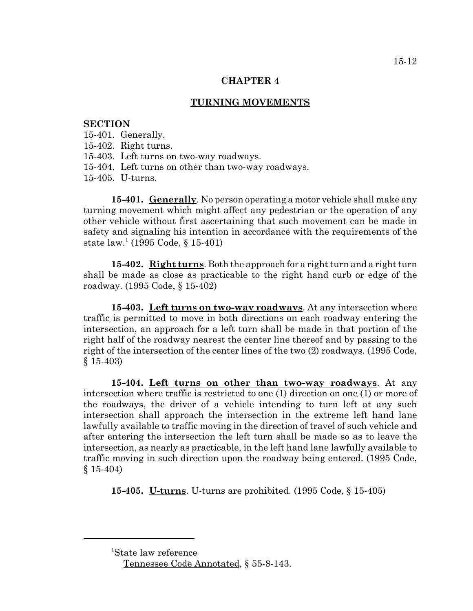### **TURNING MOVEMENTS**

#### **SECTION**

15-401. Generally.

15-402. Right turns.

15-403. Left turns on two-way roadways.

15-404. Left turns on other than two-way roadways.

15-405. U-turns.

**15-401. Generally**. No person operating a motor vehicle shall make any turning movement which might affect any pedestrian or the operation of any other vehicle without first ascertaining that such movement can be made in safety and signaling his intention in accordance with the requirements of the state law.<sup>1</sup> (1995 Code, § 15-401)

**15-402. Right turns**. Both the approach for a right turn and a right turn shall be made as close as practicable to the right hand curb or edge of the roadway. (1995 Code, § 15-402)

**15-403. Left turns on two-way roadways**. At any intersection where traffic is permitted to move in both directions on each roadway entering the intersection, an approach for a left turn shall be made in that portion of the right half of the roadway nearest the center line thereof and by passing to the right of the intersection of the center lines of the two (2) roadways. (1995 Code, § 15-403)

**15-404. Left turns on other than two-way roadways**. At any intersection where traffic is restricted to one (1) direction on one (1) or more of the roadways, the driver of a vehicle intending to turn left at any such intersection shall approach the intersection in the extreme left hand lane lawfully available to traffic moving in the direction of travel of such vehicle and after entering the intersection the left turn shall be made so as to leave the intersection, as nearly as practicable, in the left hand lane lawfully available to traffic moving in such direction upon the roadway being entered. (1995 Code, § 15-404)

**15-405. U-turns**. U-turns are prohibited. (1995 Code, § 15-405)

<sup>1</sup> State law reference

Tennessee Code Annotated, § 55-8-143.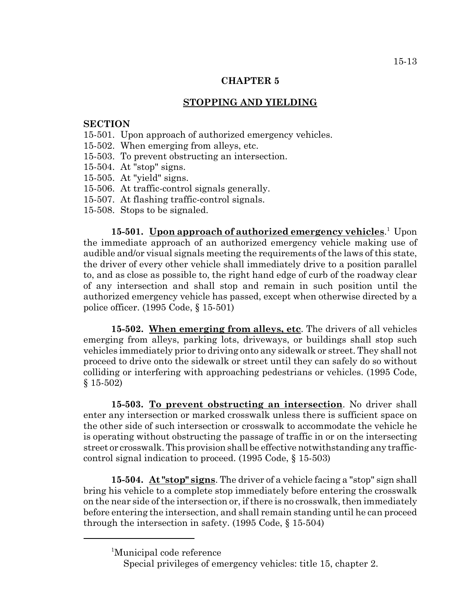### **STOPPING AND YIELDING**

### **SECTION**

- 15-501. Upon approach of authorized emergency vehicles.
- 15-502. When emerging from alleys, etc.
- 15-503. To prevent obstructing an intersection.
- 15-504. At "stop" signs.
- 15-505. At "yield" signs.
- 15-506. At traffic-control signals generally.
- 15-507. At flashing traffic-control signals.
- 15-508. Stops to be signaled.

15-501. **Upon approach of authorized emergency vehicles**.<sup>1</sup> Upon the immediate approach of an authorized emergency vehicle making use of audible and/or visual signals meeting the requirements of the laws of this state, the driver of every other vehicle shall immediately drive to a position parallel to, and as close as possible to, the right hand edge of curb of the roadway clear of any intersection and shall stop and remain in such position until the authorized emergency vehicle has passed, except when otherwise directed by a police officer. (1995 Code, § 15-501)

**15-502. When emerging from alleys, etc**. The drivers of all vehicles emerging from alleys, parking lots, driveways, or buildings shall stop such vehicles immediately prior to driving onto any sidewalk or street. They shall not proceed to drive onto the sidewalk or street until they can safely do so without colliding or interfering with approaching pedestrians or vehicles. (1995 Code, § 15-502)

**15-503. To prevent obstructing an intersection**. No driver shall enter any intersection or marked crosswalk unless there is sufficient space on the other side of such intersection or crosswalk to accommodate the vehicle he is operating without obstructing the passage of traffic in or on the intersecting street or crosswalk. This provision shall be effective notwithstanding any trafficcontrol signal indication to proceed. (1995 Code, § 15-503)

**15-504. At "stop" signs**. The driver of a vehicle facing a "stop" sign shall bring his vehicle to a complete stop immediately before entering the crosswalk on the near side of the intersection or, if there is no crosswalk, then immediately before entering the intersection, and shall remain standing until he can proceed through the intersection in safety. (1995 Code, § 15-504)

<sup>1</sup> Municipal code reference

Special privileges of emergency vehicles: title 15, chapter 2.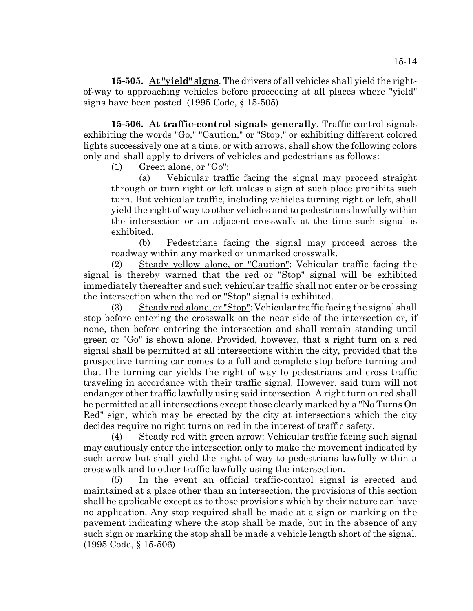**15-505. At "yield" signs**. The drivers of all vehicles shall yield the rightof-way to approaching vehicles before proceeding at all places where "yield" signs have been posted. (1995 Code, § 15-505)

**15-506. At traffic-control signals generally**. Traffic-control signals exhibiting the words "Go," "Caution," or "Stop," or exhibiting different colored lights successively one at a time, or with arrows, shall show the following colors only and shall apply to drivers of vehicles and pedestrians as follows:

(1) Green alone, or "Go":

(a) Vehicular traffic facing the signal may proceed straight through or turn right or left unless a sign at such place prohibits such turn. But vehicular traffic, including vehicles turning right or left, shall yield the right of way to other vehicles and to pedestrians lawfully within the intersection or an adjacent crosswalk at the time such signal is exhibited.

(b) Pedestrians facing the signal may proceed across the roadway within any marked or unmarked crosswalk.

(2) Steady yellow alone, or "Caution": Vehicular traffic facing the signal is thereby warned that the red or "Stop" signal will be exhibited immediately thereafter and such vehicular traffic shall not enter or be crossing the intersection when the red or "Stop" signal is exhibited.

(3) Steady red alone, or "Stop": Vehicular traffic facing the signal shall stop before entering the crosswalk on the near side of the intersection or, if none, then before entering the intersection and shall remain standing until green or "Go" is shown alone. Provided, however, that a right turn on a red signal shall be permitted at all intersections within the city, provided that the prospective turning car comes to a full and complete stop before turning and that the turning car yields the right of way to pedestrians and cross traffic traveling in accordance with their traffic signal. However, said turn will not endanger other traffic lawfully using said intersection. A right turn on red shall be permitted at all intersections except those clearly marked by a "No Turns On Red" sign, which may be erected by the city at intersections which the city decides require no right turns on red in the interest of traffic safety.

(4) Steady red with green arrow: Vehicular traffic facing such signal may cautiously enter the intersection only to make the movement indicated by such arrow but shall yield the right of way to pedestrians lawfully within a crosswalk and to other traffic lawfully using the intersection.

(5) In the event an official traffic-control signal is erected and maintained at a place other than an intersection, the provisions of this section shall be applicable except as to those provisions which by their nature can have no application. Any stop required shall be made at a sign or marking on the pavement indicating where the stop shall be made, but in the absence of any such sign or marking the stop shall be made a vehicle length short of the signal. (1995 Code, § 15-506)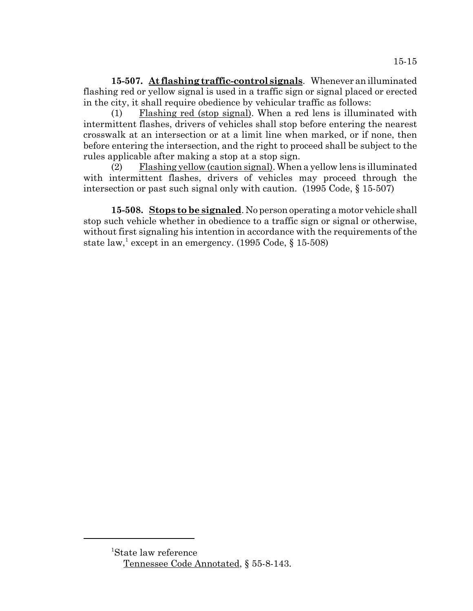**15-507. At flashing traffic-control signals**. Whenever an illuminated flashing red or yellow signal is used in a traffic sign or signal placed or erected in the city, it shall require obedience by vehicular traffic as follows:

(1) Flashing red (stop signal). When a red lens is illuminated with intermittent flashes, drivers of vehicles shall stop before entering the nearest crosswalk at an intersection or at a limit line when marked, or if none, then before entering the intersection, and the right to proceed shall be subject to the rules applicable after making a stop at a stop sign.

(2) Flashing yellow (caution signal). When a yellow lens is illuminated with intermittent flashes, drivers of vehicles may proceed through the intersection or past such signal only with caution. (1995 Code, § 15-507)

**15-508. Stops to be signaled**. No person operating a motor vehicle shall stop such vehicle whether in obedience to a traffic sign or signal or otherwise, without first signaling his intention in accordance with the requirements of the state  $\text{law},^1$  except in an emergency. (1995 Code, § 15-508)

<sup>1</sup> State law reference Tennessee Code Annotated, § 55-8-143.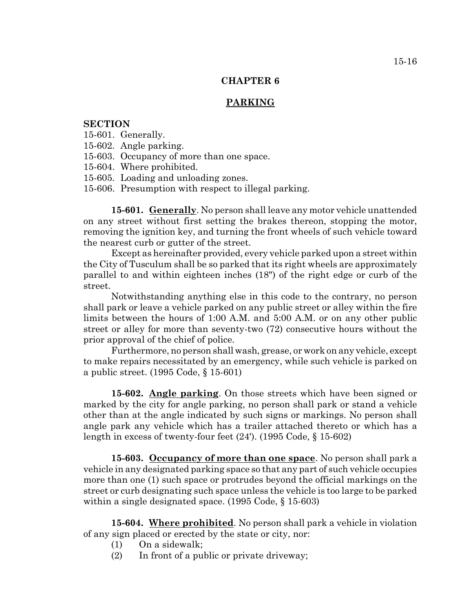### **PARKING**

### **SECTION**

15-601. Generally.

- 15-602. Angle parking.
- 15-603. Occupancy of more than one space.
- 15-604. Where prohibited.
- 15-605. Loading and unloading zones.
- 15-606. Presumption with respect to illegal parking.

**15-601. Generally**. No person shall leave any motor vehicle unattended on any street without first setting the brakes thereon, stopping the motor, removing the ignition key, and turning the front wheels of such vehicle toward the nearest curb or gutter of the street.

Except as hereinafter provided, every vehicle parked upon a street within the City of Tusculum shall be so parked that its right wheels are approximately parallel to and within eighteen inches (18") of the right edge or curb of the street.

Notwithstanding anything else in this code to the contrary, no person shall park or leave a vehicle parked on any public street or alley within the fire limits between the hours of 1:00 A.M. and 5:00 A.M. or on any other public street or alley for more than seventy-two (72) consecutive hours without the prior approval of the chief of police.

Furthermore, no person shall wash, grease, or work on any vehicle, except to make repairs necessitated by an emergency, while such vehicle is parked on a public street. (1995 Code, § 15-601)

**15-602. Angle parking**. On those streets which have been signed or marked by the city for angle parking, no person shall park or stand a vehicle other than at the angle indicated by such signs or markings. No person shall angle park any vehicle which has a trailer attached thereto or which has a length in excess of twenty-four feet (24'). (1995 Code, § 15-602)

**15-603. Occupancy of more than one space**. No person shall park a vehicle in any designated parking space so that any part of such vehicle occupies more than one (1) such space or protrudes beyond the official markings on the street or curb designating such space unless the vehicle is too large to be parked within a single designated space. (1995 Code, § 15-603)

**15-604. Where prohibited**. No person shall park a vehicle in violation of any sign placed or erected by the state or city, nor:

- (1) On a sidewalk;
- (2) In front of a public or private driveway;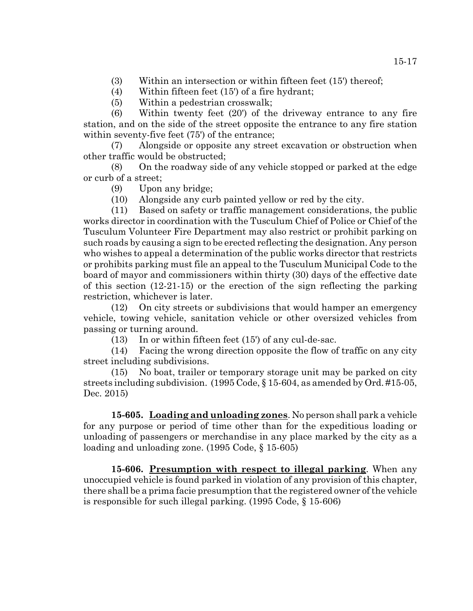- (3) Within an intersection or within fifteen feet (15') thereof;
- (4) Within fifteen feet (15') of a fire hydrant;
- (5) Within a pedestrian crosswalk;

(6) Within twenty feet (20') of the driveway entrance to any fire station, and on the side of the street opposite the entrance to any fire station within seventy-five feet (75') of the entrance;

(7) Alongside or opposite any street excavation or obstruction when other traffic would be obstructed;

(8) On the roadway side of any vehicle stopped or parked at the edge or curb of a street;

- (9) Upon any bridge;
- (10) Alongside any curb painted yellow or red by the city.

(11) Based on safety or traffic management considerations, the public works director in coordination with the Tusculum Chief of Police or Chief of the Tusculum Volunteer Fire Department may also restrict or prohibit parking on such roads by causing a sign to be erected reflecting the designation. Any person who wishes to appeal a determination of the public works director that restricts or prohibits parking must file an appeal to the Tusculum Municipal Code to the board of mayor and commissioners within thirty (30) days of the effective date of this section (12-21-15) or the erection of the sign reflecting the parking restriction, whichever is later.

(12) On city streets or subdivisions that would hamper an emergency vehicle, towing vehicle, sanitation vehicle or other oversized vehicles from passing or turning around.

(13) In or within fifteen feet (15') of any cul-de-sac.

(14) Facing the wrong direction opposite the flow of traffic on any city street including subdivisions.

(15) No boat, trailer or temporary storage unit may be parked on city streets including subdivision. (1995 Code, § 15-604, as amended by Ord. #15-05, Dec. 2015)

**15-605. Loading and unloading zones**. No person shall park a vehicle for any purpose or period of time other than for the expeditious loading or unloading of passengers or merchandise in any place marked by the city as a loading and unloading zone. (1995 Code, § 15-605)

**15-606. Presumption with respect to illegal parking**. When any unoccupied vehicle is found parked in violation of any provision of this chapter, there shall be a prima facie presumption that the registered owner of the vehicle is responsible for such illegal parking. (1995 Code, § 15-606)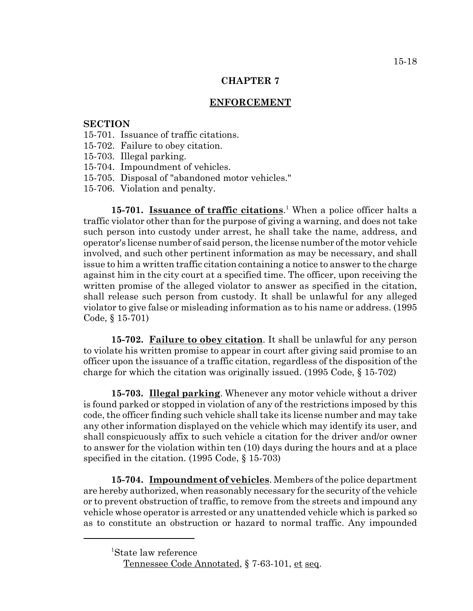## **ENFORCEMENT**

### **SECTION**

- 15-701. Issuance of traffic citations.
- 15-702. Failure to obey citation.
- 15-703. Illegal parking.
- 15-704. Impoundment of vehicles.
- 15-705. Disposal of "abandoned motor vehicles."
- 15-706. Violation and penalty.

15-701. **Issuance of traffic citations**.<sup>1</sup> When a police officer halts a traffic violator other than for the purpose of giving a warning, and does not take such person into custody under arrest, he shall take the name, address, and operator's license number of said person, the license number of the motor vehicle involved, and such other pertinent information as may be necessary, and shall issue to him a written traffic citation containing a notice to answer to the charge against him in the city court at a specified time. The officer, upon receiving the written promise of the alleged violator to answer as specified in the citation, shall release such person from custody. It shall be unlawful for any alleged violator to give false or misleading information as to his name or address. (1995 Code, § 15-701)

**15-702. Failure to obey citation**. It shall be unlawful for any person to violate his written promise to appear in court after giving said promise to an officer upon the issuance of a traffic citation, regardless of the disposition of the charge for which the citation was originally issued. (1995 Code, § 15-702)

**15-703. Illegal parking**. Whenever any motor vehicle without a driver is found parked or stopped in violation of any of the restrictions imposed by this code, the officer finding such vehicle shall take its license number and may take any other information displayed on the vehicle which may identify its user, and shall conspicuously affix to such vehicle a citation for the driver and/or owner to answer for the violation within ten (10) days during the hours and at a place specified in the citation. (1995 Code, § 15-703)

**15-704. Impoundment of vehicles**. Members of the police department are hereby authorized, when reasonably necessary for the security of the vehicle or to prevent obstruction of traffic, to remove from the streets and impound any vehicle whose operator is arrested or any unattended vehicle which is parked so as to constitute an obstruction or hazard to normal traffic. Any impounded

<sup>1</sup> State law reference

Tennessee Code Annotated, § 7-63-101, et seq.